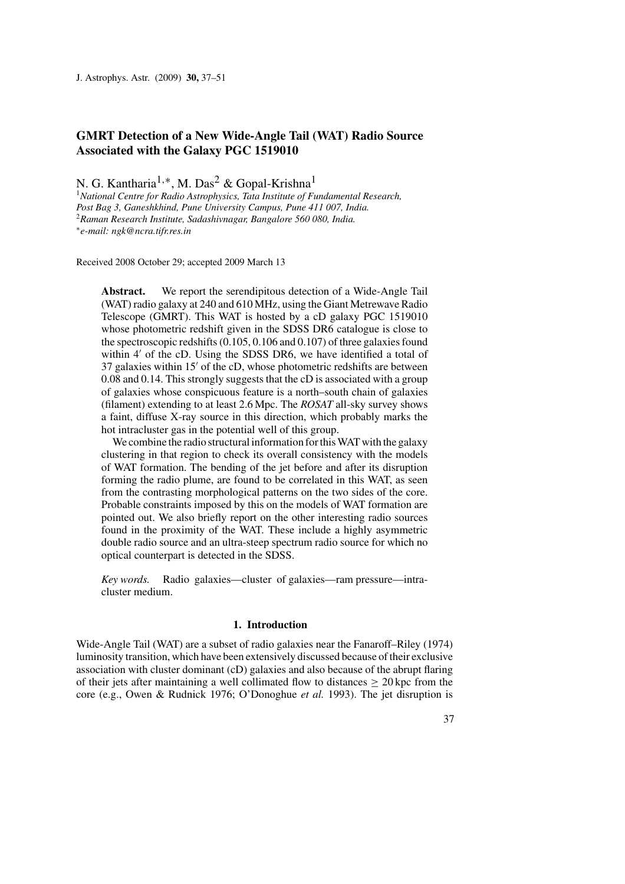# **GMRT Detection of a New Wide-Angle Tail (WAT) Radio Source Associated with the Galaxy PGC 1519010**

N. G. Kantharia1*,*∗, M. Das2 & Gopal-Krishna1

<sup>1</sup>*National Centre for Radio Astrophysics, Tata Institute of Fundamental Research, Post Bag 3, Ganeshkhind, Pune University Campus, Pune 411 007, India.* <sup>2</sup>*Raman Research Institute, Sadashivnagar, Bangalore 560 080, India.* <sup>∗</sup>*e-mail: ngk@ncra.tifr.res.in*

Received 2008 October 29; accepted 2009 March 13

**Abstract.** We report the serendipitous detection of a Wide-Angle Tail (WAT) radio galaxy at 240 and 610 MHz, using the Giant Metrewave Radio Telescope (GMRT). This WAT is hosted by a cD galaxy PGC 1519010 whose photometric redshift given in the SDSS DR6 catalogue is close to the spectroscopic redshifts (0.105, 0.106 and 0.107) of three galaxies found within 4' of the cD. Using the SDSS DR6, we have identified a total of 37 galaxies within 15' of the cD, whose photometric redshifts are between 0.08 and 0.14. This strongly suggests that the cD is associated with a group of galaxies whose conspicuous feature is a north–south chain of galaxies (filament) extending to at least 2.6 Mpc. The *ROSAT* all-sky survey shows a faint, diffuse X-ray source in this direction, which probably marks the hot intracluster gas in the potential well of this group.

We combine the radio structural information for this WAT with the galaxy clustering in that region to check its overall consistency with the models of WAT formation. The bending of the jet before and after its disruption forming the radio plume, are found to be correlated in this WAT, as seen from the contrasting morphological patterns on the two sides of the core. Probable constraints imposed by this on the models of WAT formation are pointed out. We also briefly report on the other interesting radio sources found in the proximity of the WAT. These include a highly asymmetric double radio source and an ultra-steep spectrum radio source for which no optical counterpart is detected in the SDSS.

*Key words.* Radio galaxies—cluster of galaxies—ram pressure—intracluster medium.

### **1. Introduction**

Wide-Angle Tail (WAT) are a subset of radio galaxies near the Fanaroff–Riley (1974) luminosity transition, which have been extensively discussed because of their exclusive association with cluster dominant (cD) galaxies and also because of the abrupt flaring of their jets after maintaining a well collimated flow to distances  $\geq 20$  kpc from the core (e.g., Owen & Rudnick 1976; O'Donoghue *et al.* 1993). The jet disruption is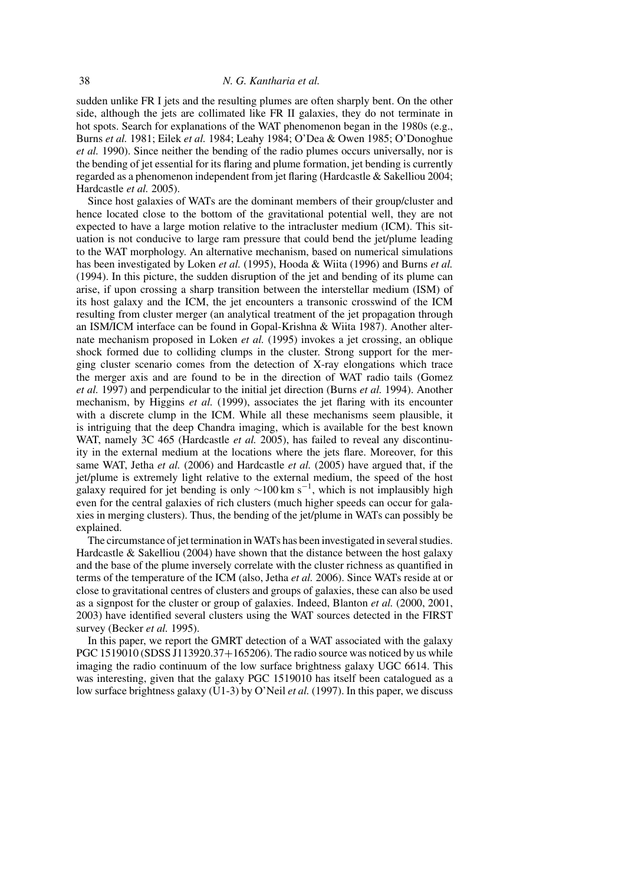sudden unlike FR I jets and the resulting plumes are often sharply bent. On the other side, although the jets are collimated like FR II galaxies, they do not terminate in hot spots. Search for explanations of the WAT phenomenon began in the 1980s (e.g., Burns *et al.* 1981; Eilek *et al.* 1984; Leahy 1984; O'Dea & Owen 1985; O'Donoghue *et al.* 1990). Since neither the bending of the radio plumes occurs universally, nor is the bending of jet essential for its flaring and plume formation, jet bending is currently regarded as a phenomenon independent from jet flaring (Hardcastle & Sakelliou 2004; Hardcastle *et al.* 2005).

Since host galaxies of WATs are the dominant members of their group/cluster and hence located close to the bottom of the gravitational potential well, they are not expected to have a large motion relative to the intracluster medium (ICM). This situation is not conducive to large ram pressure that could bend the jet/plume leading to the WAT morphology. An alternative mechanism, based on numerical simulations has been investigated by Loken *et al.* (1995), Hooda & Wiita (1996) and Burns *et al.* (1994). In this picture, the sudden disruption of the jet and bending of its plume can arise, if upon crossing a sharp transition between the interstellar medium (ISM) of its host galaxy and the ICM, the jet encounters a transonic crosswind of the ICM resulting from cluster merger (an analytical treatment of the jet propagation through an ISM/ICM interface can be found in Gopal-Krishna & Wiita 1987). Another alternate mechanism proposed in Loken *et al.* (1995) invokes a jet crossing, an oblique shock formed due to colliding clumps in the cluster. Strong support for the merging cluster scenario comes from the detection of X-ray elongations which trace the merger axis and are found to be in the direction of WAT radio tails (Gomez *et al.* 1997) and perpendicular to the initial jet direction (Burns *et al.* 1994). Another mechanism, by Higgins *et al.* (1999), associates the jet flaring with its encounter with a discrete clump in the ICM. While all these mechanisms seem plausible, it is intriguing that the deep Chandra imaging, which is available for the best known WAT, namely 3C 465 (Hardcastle *et al.* 2005), has failed to reveal any discontinuity in the external medium at the locations where the jets flare. Moreover, for this same WAT, Jetha *et al.* (2006) and Hardcastle *et al.* (2005) have argued that, if the jet/plume is extremely light relative to the external medium, the speed of the host galaxy required for jet bending is only  $\sim$ 100 km s<sup>-1</sup>, which is not implausibly high even for the central galaxies of rich clusters (much higher speeds can occur for galaxies in merging clusters). Thus, the bending of the jet/plume in WATs can possibly be explained.

The circumstance of jet termination in WATs has been investigated in several studies. Hardcastle  $&$  Sakelliou (2004) have shown that the distance between the host galaxy and the base of the plume inversely correlate with the cluster richness as quantified in terms of the temperature of the ICM (also, Jetha *et al.* 2006). Since WATs reside at or close to gravitational centres of clusters and groups of galaxies, these can also be used as a signpost for the cluster or group of galaxies. Indeed, Blanton *et al.* (2000, 2001, 2003) have identified several clusters using the WAT sources detected in the FIRST survey (Becker *et al.* 1995).

In this paper, we report the GMRT detection of a WAT associated with the galaxy PGC 1519010 (SDSS J113920.37+165206). The radio source was noticed by us while imaging the radio continuum of the low surface brightness galaxy UGC 6614. This was interesting, given that the galaxy PGC 1519010 has itself been catalogued as a low surface brightness galaxy (U1-3) by O'Neil *et al.* (1997). In this paper, we discuss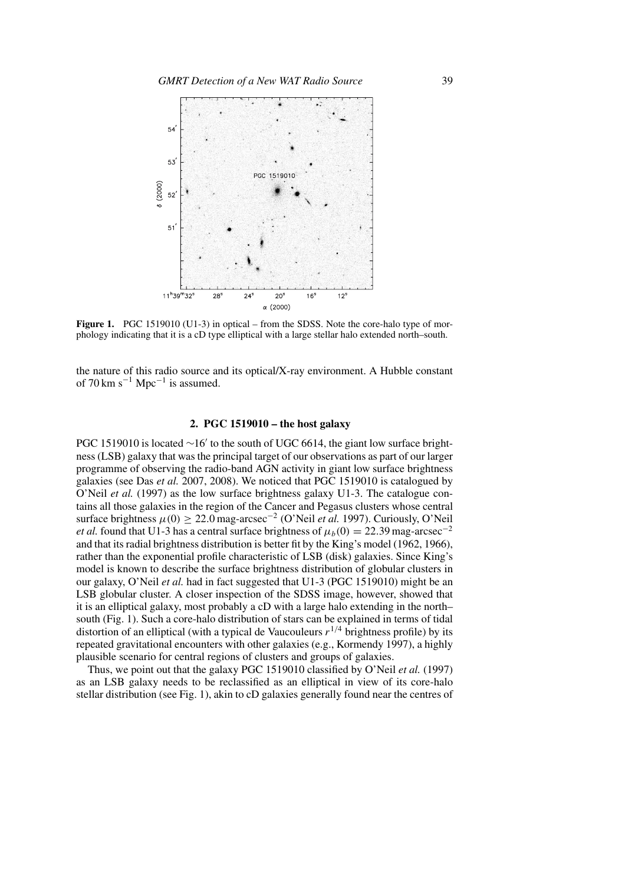

**Figure 1.** PGC 1519010 (U1-3) in optical – from the SDSS. Note the core-halo type of morphology indicating that it is a cD type elliptical with a large stellar halo extended north–south.

the nature of this radio source and its optical/X-ray environment. A Hubble constant of  $70 \text{ km s}^{-1} \text{ Mpc}^{-1}$  is assumed.

# **2. PGC 1519010 – the host galaxy**

PGC 1519010 is located ~16' to the south of UGC 6614, the giant low surface brightness (LSB) galaxy that was the principal target of our observations as part of our larger programme of observing the radio-band AGN activity in giant low surface brightness galaxies (see Das *et al.* 2007, 2008). We noticed that PGC 1519010 is catalogued by O'Neil *et al.* (1997) as the low surface brightness galaxy U1-3. The catalogue contains all those galaxies in the region of the Cancer and Pegasus clusters whose central surface brightness  $\mu(0) \geq 22.0$  mag-arcsec<sup>-2</sup> (O'Neil *et al.* 1997). Curiously, O'Neil *et al.* found that U1-3 has a central surface brightness of  $\mu_b(0) = 22.39$  mag-arcsec<sup>-2</sup> and that its radial brightness distribution is better fit by the King's model (1962, 1966), rather than the exponential profile characteristic of LSB (disk) galaxies. Since King's model is known to describe the surface brightness distribution of globular clusters in our galaxy, O'Neil *et al.* had in fact suggested that U1-3 (PGC 1519010) might be an LSB globular cluster. A closer inspection of the SDSS image, however, showed that it is an elliptical galaxy, most probably a cD with a large halo extending in the north– south (Fig. 1). Such a core-halo distribution of stars can be explained in terms of tidal distortion of an elliptical (with a typical de Vaucouleurs  $r^{1/4}$  brightness profile) by its repeated gravitational encounters with other galaxies (e.g., Kormendy 1997), a highly plausible scenario for central regions of clusters and groups of galaxies.

Thus, we point out that the galaxy PGC 1519010 classified by O'Neil *et al.* (1997) as an LSB galaxy needs to be reclassified as an elliptical in view of its core-halo stellar distribution (see Fig. 1), akin to cD galaxies generally found near the centres of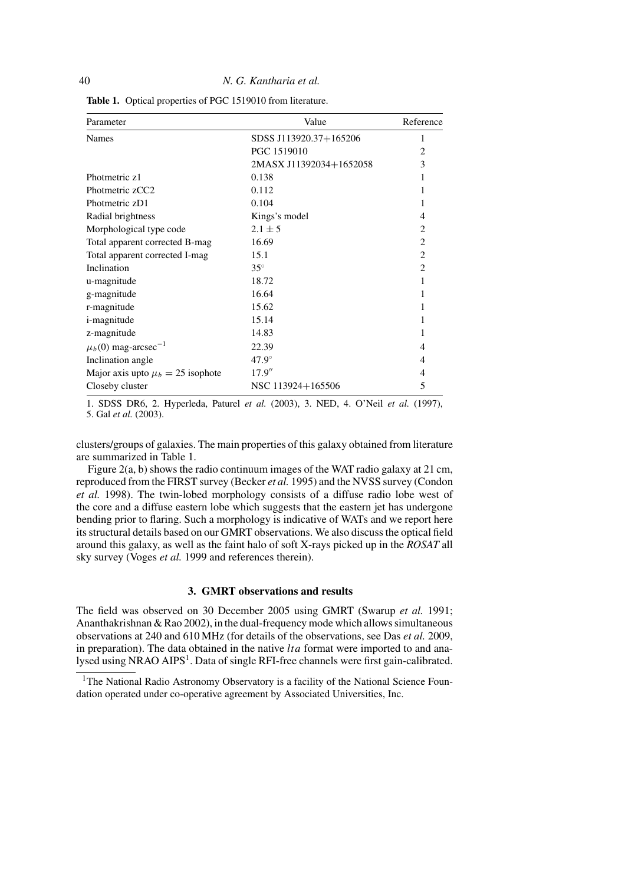| Parameter                             | Value                   | Reference      |  |
|---------------------------------------|-------------------------|----------------|--|
| <b>Names</b>                          | SDSS J113920.37+165206  | 1              |  |
|                                       | PGC 1519010             | $\overline{c}$ |  |
|                                       | 2MASX J11392034+1652058 | 3              |  |
| Photmetric z1                         | 0.138                   |                |  |
| Photmetric zCC2                       | 0.112                   |                |  |
| Photmetric zD1                        | 0.104                   |                |  |
| Radial brightness                     | Kings's model           | 4              |  |
| Morphological type code               | $2.1 \pm 5$             | $\overline{c}$ |  |
| Total apparent corrected B-mag        | 16.69                   | $\overline{2}$ |  |
| Total apparent corrected I-mag        | 15.1                    | $\overline{c}$ |  |
| Inclination                           | $35^\circ$              | $\mathfrak{D}$ |  |
| u-magnitude                           | 18.72                   |                |  |
| g-magnitude                           | 16.64                   |                |  |
| r-magnitude                           | 15.62                   |                |  |
| <i>i</i> -magnitude                   | 15.14                   |                |  |
| z-magnitude                           | 14.83                   |                |  |
| $\mu_b(0)$ mag-arcsec <sup>-1</sup>   | 22.39                   | 4              |  |
| Inclination angle                     | $47.9^\circ$            | 4              |  |
| Major axis upto $\mu_b = 25$ isophote | 17.9''                  | $\overline{4}$ |  |
| Closeby cluster                       | NSC 113924+165506       | 5              |  |

**Table 1.** Optical properties of PGC 1519010 from literature.

1. SDSS DR6, 2. Hyperleda, Paturel *et al.* (2003), 3. NED, 4. O'Neil *et al.* (1997), 5. Gal *et al.* (2003).

clusters/groups of galaxies. The main properties of this galaxy obtained from literature are summarized in Table 1.

Figure 2(a, b) shows the radio continuum images of the WAT radio galaxy at 21 cm, reproduced from the FIRST survey (Becker *et al.* 1995) and the NVSS survey (Condon *et al.* 1998). The twin-lobed morphology consists of a diffuse radio lobe west of the core and a diffuse eastern lobe which suggests that the eastern jet has undergone bending prior to flaring. Such a morphology is indicative of WATs and we report here its structural details based on our GMRT observations. We also discuss the optical field around this galaxy, as well as the faint halo of soft X-rays picked up in the *ROSAT* all sky survey (Voges *et al.* 1999 and references therein).

### **3. GMRT observations and results**

The field was observed on 30 December 2005 using GMRT (Swarup *et al.* 1991; Ananthakrishnan & Rao 2002), in the dual-frequency mode which allows simultaneous observations at 240 and 610 MHz (for details of the observations, see Das *et al.* 2009, in preparation). The data obtained in the native *lta* format were imported to and analysed using NRAO AIPS<sup>1</sup>. Data of single RFI-free channels were first gain-calibrated.

<sup>&</sup>lt;sup>1</sup>The National Radio Astronomy Observatory is a facility of the National Science Foundation operated under co-operative agreement by Associated Universities, Inc.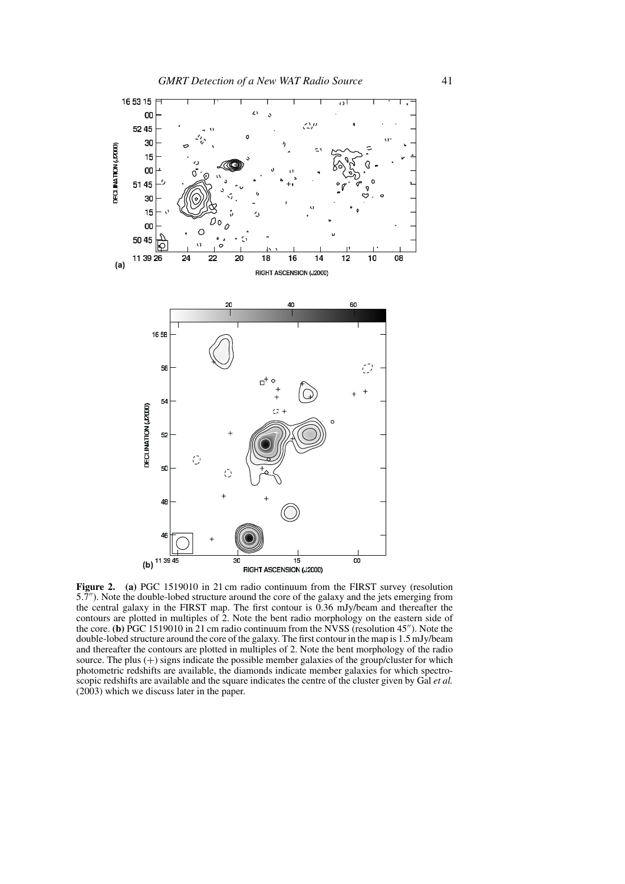

Figure 2. (a) PGC 1519010 in 21 cm radio continuum from the FIRST survey (resolution 5*.*7). Note the double-lobed structure around the core of the galaxy and the jets emerging from the central galaxy in the FIRST map. The first contour is 0.36 mJy/beam and thereafter the contours are plotted in multiples of 2. Note the bent radio morphology on the eastern side of the core. **(b)** PGC 1519010 in 21 cm radio continuum from the NVSS (resolution 45"). Note the double-lobed structure around the core of the galaxy. The first contour in the map is 1.5 mJy/beam and thereafter the contours are plotted in multiples of 2. Note the bent morphology of the radio source. The plus  $(+)$  signs indicate the possible member galaxies of the group/cluster for which photometric redshifts are available, the diamonds indicate member galaxies for which spectroscopic redshifts are available and the square indicates the centre of the cluster given by Gal *et al.* (2003) which we discuss later in the paper.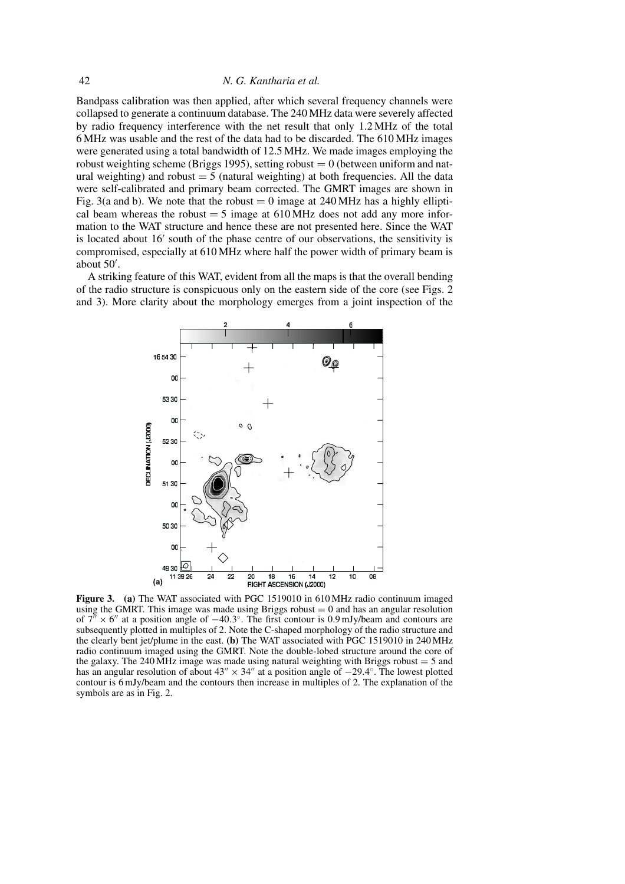Bandpass calibration was then applied, after which several frequency channels were collapsed to generate a continuum database. The 240 MHz data were severely affected by radio frequency interference with the net result that only 1.2 MHz of the total 6 MHz was usable and the rest of the data had to be discarded. The 610 MHz images were generated using a total bandwidth of 12.5 MHz. We made images employing the robust weighting scheme (Briggs 1995), setting robust  $= 0$  (between uniform and natural weighting) and robust  $= 5$  (natural weighting) at both frequencies. All the data were self-calibrated and primary beam corrected. The GMRT images are shown in Fig. 3(a and b). We note that the robust  $= 0$  image at 240 MHz has a highly elliptical beam whereas the robust  $= 5$  image at 610 MHz does not add any more information to the WAT structure and hence these are not presented here. Since the WAT is located about 16' south of the phase centre of our observations, the sensitivity is compromised, especially at 610 MHz where half the power width of primary beam is about 50 .

A striking feature of this WAT, evident from all the maps is that the overall bending of the radio structure is conspicuous only on the eastern side of the core (see Figs. 2 and 3). More clarity about the morphology emerges from a joint inspection of the



**Figure 3. (a)** The WAT associated with PGC 1519010 in 610 MHz radio continuum imaged using the GMRT. This image was made using Briggs robust  $= 0$  and has an angular resolution of 7<sup>"</sup> × 6" at a position angle of −40.3°. The first contour is 0.9 mJy/beam and contours are subsequently plotted in multiples of 2. Note the C-shaped morphology of the radio structure and the clearly bent jet/plume in the east. **(b)** The WAT associated with PGC 1519010 in 240 MHz radio continuum imaged using the GMRT. Note the double-lobed structure around the core of the galaxy. The 240 MHz image was made using natural weighting with Briggs robust  $= 5$  and has an angular resolution of about  $43'' \times 34''$  at a position angle of  $-29.4°$ . The lowest plotted contour is 6 mJy/beam and the contours then increase in multiples of 2. The explanation of the symbols are as in Fig. 2.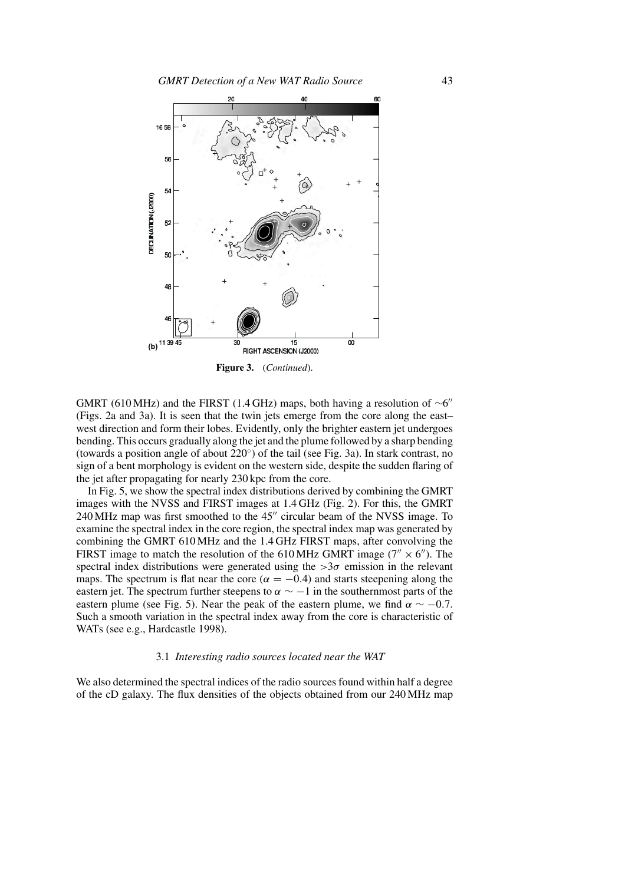

**Figure 3.** (*Continued*).

GMRT (610 MHz) and the FIRST (1.4 GHz) maps, both having a resolution of  $\sim 6$ " (Figs. 2a and 3a). It is seen that the twin jets emerge from the core along the east– west direction and form their lobes. Evidently, only the brighter eastern jet undergoes bending. This occurs gradually along the jet and the plume followed by a sharp bending (towards a position angle of about  $220°$ ) of the tail (see Fig. 3a). In stark contrast, no sign of a bent morphology is evident on the western side, despite the sudden flaring of the jet after propagating for nearly 230 kpc from the core.

In Fig. 5, we show the spectral index distributions derived by combining the GMRT images with the NVSS and FIRST images at 1.4 GHz (Fig. 2). For this, the GMRT 240 MHz map was first smoothed to the 45" circular beam of the NVSS image. To examine the spectral index in the core region, the spectral index map was generated by combining the GMRT 610 MHz and the 1.4 GHz FIRST maps, after convolving the FIRST image to match the resolution of the 610 MHz GMRT image ( $7'' \times 6''$ ). The spectral index distributions were generated using the  $>3\sigma$  emission in the relevant maps. The spectrum is flat near the core ( $\alpha = -0.4$ ) and starts steepening along the eastern jet. The spectrum further steepens to  $\alpha \sim -1$  in the southernmost parts of the eastern plume (see Fig. 5). Near the peak of the eastern plume, we find  $\alpha \sim -0.7$ . Such a smooth variation in the spectral index away from the core is characteristic of WATs (see e.g., Hardcastle 1998).

### 3.1 *Interesting radio sources located near the WAT*

We also determined the spectral indices of the radio sources found within half a degree of the cD galaxy. The flux densities of the objects obtained from our 240 MHz map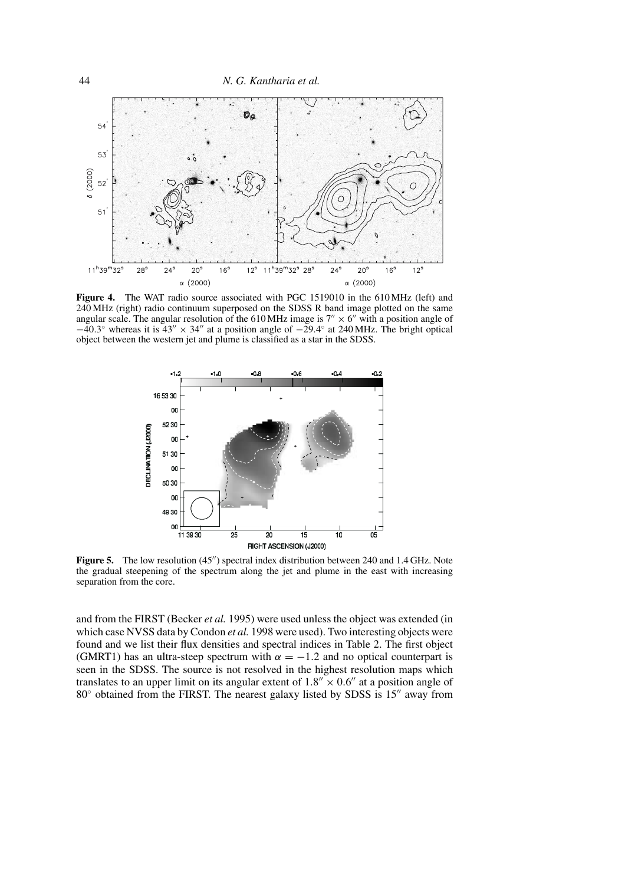

**Figure 4.** The WAT radio source associated with PGC 1519010 in the 610 MHz (left) and 240 MHz (right) radio continuum superposed on the SDSS R band image plotted on the same angular scale. The angular resolution of the 610 MHz image is  $7'' \times 6''$  with a position angle of  $-40.3°$  whereas it is  $43'' \times 34''$  at a position angle of  $-29.4°$  at 240 MHz. The bright optical object between the western jet and plume is classified as a star in the SDSS.



**Figure 5.** The low resolution (45") spectral index distribution between 240 and 1.4 GHz. Note the gradual steepening of the spectrum along the jet and plume in the east with increasing separation from the core.

and from the FIRST (Becker *et al.* 1995) were used unless the object was extended (in which case NVSS data by Condon *et al.* 1998 were used). Two interesting objects were found and we list their flux densities and spectral indices in Table 2. The first object (GMRT1) has an ultra-steep spectrum with  $\alpha = -1.2$  and no optical counterpart is seen in the SDSS. The source is not resolved in the highest resolution maps which translates to an upper limit on its angular extent of  $1.8'' \times 0.6''$  at a position angle of  $80^\circ$  obtained from the FIRST. The nearest galaxy listed by SDSS is 15" away from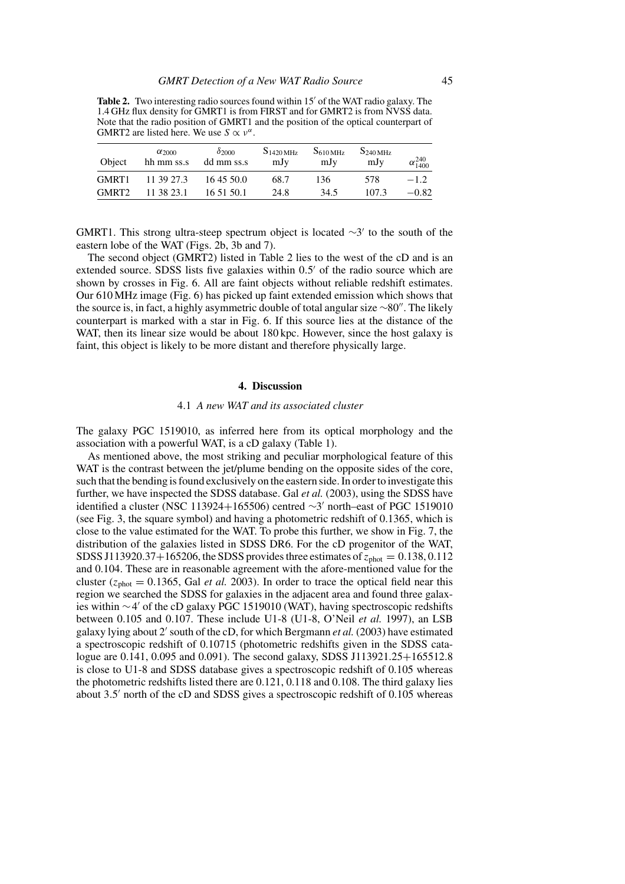**Table 2.** Two interesting radio sources found within 15' of the WAT radio galaxy. The 1.4 GHz flux density for GMRT1 is from FIRST and for GMRT2 is from NVSS data. Note that the radio position of GMRT1 and the position of the optical counterpart of GMRT2 are listed here. We use  $S \propto v^{\alpha}$ .

| Object            | $\alpha_{2000}$<br>hh mm ss.s | $\delta$ 2000<br>dd mm ss.s | $S_{1420 \mathrm{MHz}}$<br>mJy | S <sub>610 MHz</sub><br>mJy | S <sub>240 MHz</sub><br>mJy | $\alpha_{1400}^{240}$ |
|-------------------|-------------------------------|-----------------------------|--------------------------------|-----------------------------|-----------------------------|-----------------------|
| GMRT1             | 11 39 27.3                    | 16 45 50.0                  | 68.7                           | 136                         | 578                         | $-1.2$                |
| GMRT <sub>2</sub> | 11 38 23.1                    | 16 51 50.1                  | 24.8                           | 34.5                        | 107.3                       | $-0.82$               |

GMRT1. This strong ultra-steep spectrum object is located  $\sim$ 3' to the south of the eastern lobe of the WAT (Figs. 2b, 3b and 7).

The second object (GMRT2) listed in Table 2 lies to the west of the cD and is an extended source. SDSS lists five galaxies within 0.5' of the radio source which are shown by crosses in Fig. 6. All are faint objects without reliable redshift estimates. Our 610 MHz image (Fig. 6) has picked up faint extended emission which shows that the source is, in fact, a highly asymmetric double of total angular size ∼80". The likely counterpart is marked with a star in Fig. 6. If this source lies at the distance of the WAT, then its linear size would be about 180 kpc. However, since the host galaxy is faint, this object is likely to be more distant and therefore physically large.

### **4. Discussion**

## 4.1 *A new WAT and its associated cluster*

The galaxy PGC 1519010, as inferred here from its optical morphology and the association with a powerful WAT, is a cD galaxy (Table 1).

As mentioned above, the most striking and peculiar morphological feature of this WAT is the contrast between the jet/plume bending on the opposite sides of the core, such that the bending is found exclusively on the eastern side. In order to investigate this further, we have inspected the SDSS database. Gal *et al.* (2003), using the SDSS have identified a cluster (NSC 113924+165506) centred  $\sim$ 3' north–east of PGC 1519010 (see Fig. 3, the square symbol) and having a photometric redshift of 0.1365, which is close to the value estimated for the WAT. To probe this further, we show in Fig. 7, the distribution of the galaxies listed in SDSS DR6. For the cD progenitor of the WAT, SDSS J113920.37+165206, the SDSS provides three estimates of  $z_{\text{phot}} = 0.138, 0.112$ and 0.104. These are in reasonable agreement with the afore-mentioned value for the cluster  $(z<sub>phot</sub> = 0.1365$ , Gal *et al.* 2003). In order to trace the optical field near this region we searched the SDSS for galaxies in the adjacent area and found three galaxies within ∼4 of the cD galaxy PGC 1519010 (WAT), having spectroscopic redshifts between 0.105 and 0.107. These include U1-8 (U1-8, O'Neil *et al.* 1997), an LSB galaxy lying about 2' south of the cD, for which Bergmann *et al.* (2003) have estimated a spectroscopic redshift of 0.10715 (photometric redshifts given in the SDSS catalogue are 0.141, 0.095 and 0.091). The second galaxy, SDSS J113921.25+165512.8 is close to U1-8 and SDSS database gives a spectroscopic redshift of 0.105 whereas the photometric redshifts listed there are 0.121, 0.118 and 0.108. The third galaxy lies about 3.5' north of the cD and SDSS gives a spectroscopic redshift of 0.105 whereas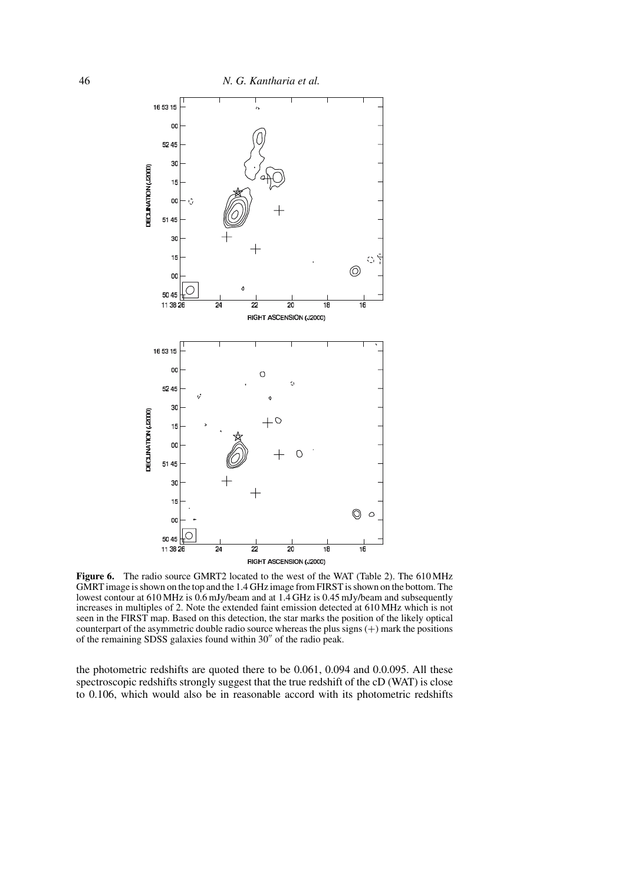

Figure 6. The radio source GMRT2 located to the west of the WAT (Table 2). The 610 MHz GMRT image is shown on the top and the 1.4 GHz image from FIRST is shown on the bottom. The lowest contour at 610 MHz is 0.6 mJy/beam and at 1.4 GHz is 0.45 mJy/beam and subsequently increases in multiples of 2. Note the extended faint emission detected at 610 MHz which is not seen in the FIRST map. Based on this detection, the star marks the position of the likely optical counterpart of the asymmetric double radio source whereas the plus signs  $(+)$  mark the positions of the remaining SDSS galaxies found within 30" of the radio peak.

the photometric redshifts are quoted there to be 0.061, 0.094 and 0.0.095. All these spectroscopic redshifts strongly suggest that the true redshift of the cD (WAT) is close to 0.106, which would also be in reasonable accord with its photometric redshifts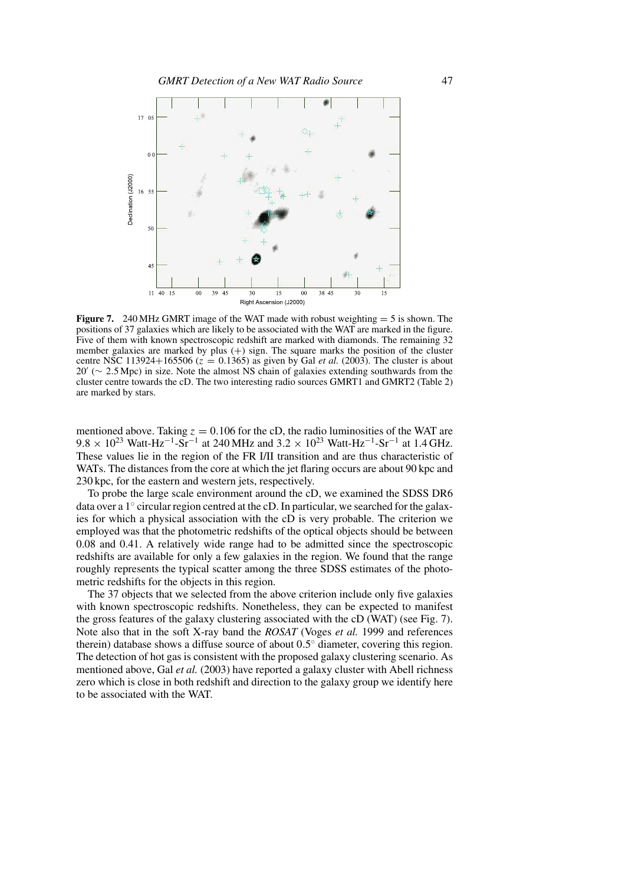

**Figure 7.** 240 MHz GMRT image of the WAT made with robust weighting  $= 5$  is shown. The positions of 37 galaxies which are likely to be associated with the WAT are marked in the figure. Five of them with known spectroscopic redshift are marked with diamonds. The remaining 32 member galaxies are marked by plus  $(+)$  sign. The square marks the position of the cluster centre NSC 113924+165506 ( $z = 0.1365$ ) as given by Gal *et al.* (2003). The cluster is about 20 (∼ 2*.*5 Mpc) in size. Note the almost NS chain of galaxies extending southwards from the cluster centre towards the cD. The two interesting radio sources GMRT1 and GMRT2 (Table 2) are marked by stars.

mentioned above. Taking  $z = 0.106$  for the cD, the radio luminosities of the WAT are 9.8 × 10<sup>23</sup> Watt-Hz<sup>-1</sup>-Sr<sup>-1</sup> at 240 MHz and 3.2 × 10<sup>23</sup> Watt-Hz<sup>-1</sup>-Sr<sup>-1</sup> at 1.4 GHz. These values lie in the region of the FR I/II transition and are thus characteristic of WATs. The distances from the core at which the jet flaring occurs are about 90 kpc and 230 kpc, for the eastern and western jets, respectively.

To probe the large scale environment around the cD, we examined the SDSS DR6 data over a  $1°$  circular region centred at the cD. In particular, we searched for the galaxies for which a physical association with the cD is very probable. The criterion we employed was that the photometric redshifts of the optical objects should be between 0.08 and 0.41. A relatively wide range had to be admitted since the spectroscopic redshifts are available for only a few galaxies in the region. We found that the range roughly represents the typical scatter among the three SDSS estimates of the photometric redshifts for the objects in this region.

The 37 objects that we selected from the above criterion include only five galaxies with known spectroscopic redshifts. Nonetheless, they can be expected to manifest the gross features of the galaxy clustering associated with the cD (WAT) (see Fig. 7). Note also that in the soft X-ray band the *ROSAT* (Voges *et al.* 1999 and references therein) database shows a diffuse source of about 0*.*5◦ diameter, covering this region. The detection of hot gas is consistent with the proposed galaxy clustering scenario. As mentioned above, Gal *et al.* (2003) have reported a galaxy cluster with Abell richness zero which is close in both redshift and direction to the galaxy group we identify here to be associated with the WAT.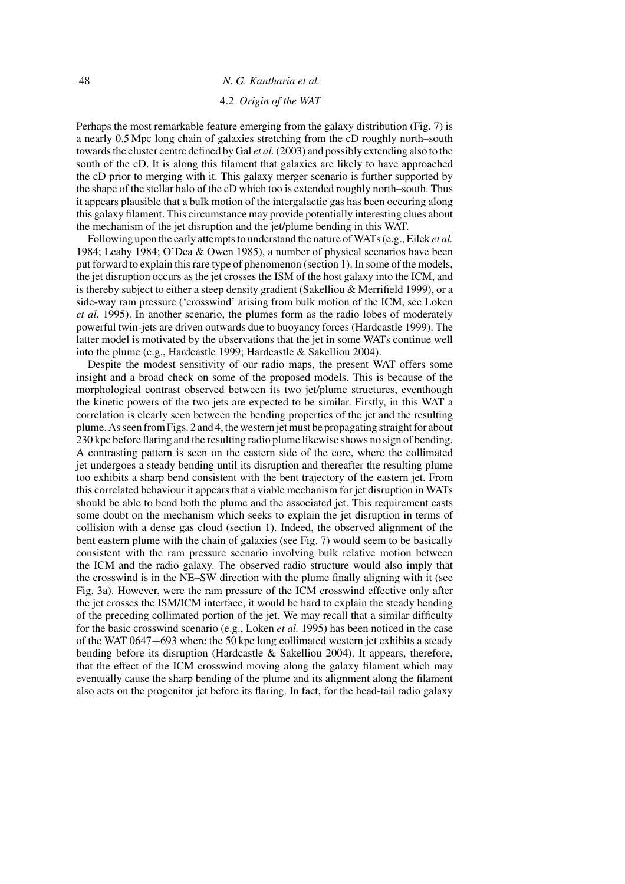### 48 *N. G. Kantharia et al.*

### 4.2 *Origin of the WAT*

Perhaps the most remarkable feature emerging from the galaxy distribution (Fig. 7) is a nearly 0.5 Mpc long chain of galaxies stretching from the cD roughly north–south towards the cluster centre defined by Gal *et al.*(2003) and possibly extending also to the south of the cD. It is along this filament that galaxies are likely to have approached the cD prior to merging with it. This galaxy merger scenario is further supported by the shape of the stellar halo of the cD which too is extended roughly north–south. Thus it appears plausible that a bulk motion of the intergalactic gas has been occuring along this galaxy filament. This circumstance may provide potentially interesting clues about the mechanism of the jet disruption and the jet/plume bending in this WAT.

Following upon the early attempts to understand the nature of WATs (e.g., Eilek *et al.* 1984; Leahy 1984; O'Dea & Owen 1985), a number of physical scenarios have been put forward to explain this rare type of phenomenon (section 1). In some of the models, the jet disruption occurs as the jet crosses the ISM of the host galaxy into the ICM, and is thereby subject to either a steep density gradient (Sakelliou & Merrifield 1999), or a side-way ram pressure ('crosswind' arising from bulk motion of the ICM, see Loken *et al.* 1995). In another scenario, the plumes form as the radio lobes of moderately powerful twin-jets are driven outwards due to buoyancy forces (Hardcastle 1999). The latter model is motivated by the observations that the jet in some WATs continue well into the plume (e.g., Hardcastle 1999; Hardcastle & Sakelliou 2004).

Despite the modest sensitivity of our radio maps, the present WAT offers some insight and a broad check on some of the proposed models. This is because of the morphological contrast observed between its two jet/plume structures, eventhough the kinetic powers of the two jets are expected to be similar. Firstly, in this WAT a correlation is clearly seen between the bending properties of the jet and the resulting plume. As seen from Figs. 2 and 4, the western jet must be propagating straight for about 230 kpc before flaring and the resulting radio plume likewise shows no sign of bending. A contrasting pattern is seen on the eastern side of the core, where the collimated jet undergoes a steady bending until its disruption and thereafter the resulting plume too exhibits a sharp bend consistent with the bent trajectory of the eastern jet. From this correlated behaviour it appears that a viable mechanism for jet disruption in WATs should be able to bend both the plume and the associated jet. This requirement casts some doubt on the mechanism which seeks to explain the jet disruption in terms of collision with a dense gas cloud (section 1). Indeed, the observed alignment of the bent eastern plume with the chain of galaxies (see Fig. 7) would seem to be basically consistent with the ram pressure scenario involving bulk relative motion between the ICM and the radio galaxy. The observed radio structure would also imply that the crosswind is in the NE–SW direction with the plume finally aligning with it (see Fig. 3a). However, were the ram pressure of the ICM crosswind effective only after the jet crosses the ISM/ICM interface, it would be hard to explain the steady bending of the preceding collimated portion of the jet. We may recall that a similar difficulty for the basic crosswind scenario (e.g., Loken *et al.* 1995) has been noticed in the case of the WAT 0647+693 where the 50 kpc long collimated western jet exhibits a steady bending before its disruption (Hardcastle  $&$  Sakelliou 2004). It appears, therefore, that the effect of the ICM crosswind moving along the galaxy filament which may eventually cause the sharp bending of the plume and its alignment along the filament also acts on the progenitor jet before its flaring. In fact, for the head-tail radio galaxy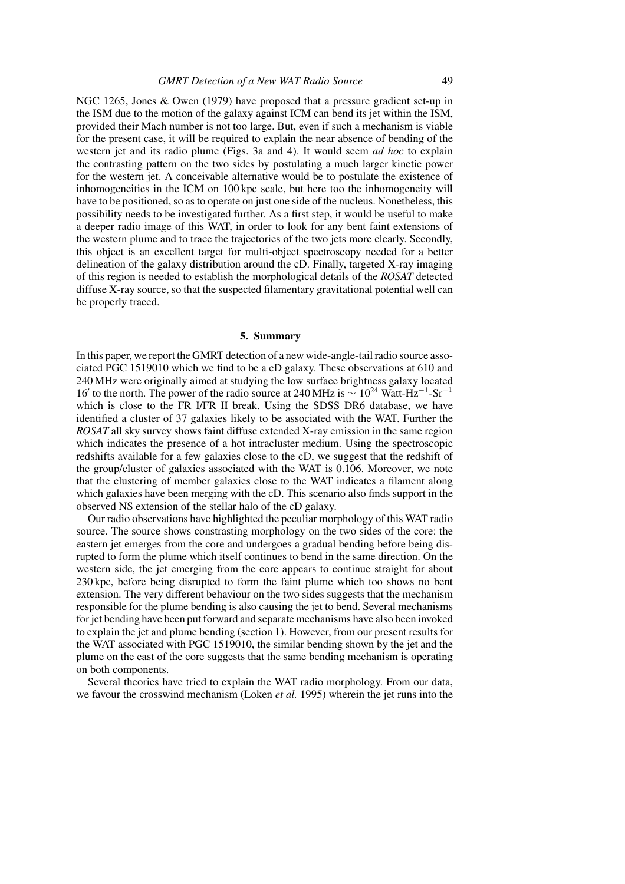NGC 1265, Jones & Owen (1979) have proposed that a pressure gradient set-up in the ISM due to the motion of the galaxy against ICM can bend its jet within the ISM, provided their Mach number is not too large. But, even if such a mechanism is viable for the present case, it will be required to explain the near absence of bending of the western jet and its radio plume (Figs. 3a and 4). It would seem *ad hoc* to explain the contrasting pattern on the two sides by postulating a much larger kinetic power for the western jet. A conceivable alternative would be to postulate the existence of inhomogeneities in the ICM on 100 kpc scale, but here too the inhomogeneity will have to be positioned, so as to operate on just one side of the nucleus. Nonetheless, this possibility needs to be investigated further. As a first step, it would be useful to make a deeper radio image of this WAT, in order to look for any bent faint extensions of the western plume and to trace the trajectories of the two jets more clearly. Secondly, this object is an excellent target for multi-object spectroscopy needed for a better delineation of the galaxy distribution around the cD. Finally, targeted X-ray imaging of this region is needed to establish the morphological details of the *ROSAT* detected diffuse X-ray source, so that the suspected filamentary gravitational potential well can be properly traced.

### **5. Summary**

In this paper, we report the GMRT detection of a new wide-angle-tail radio source associated PGC 1519010 which we find to be a cD galaxy. These observations at 610 and 240 MHz were originally aimed at studying the low surface brightness galaxy located 16' to the north. The power of the radio source at 240 MHz is  $\sim 10^{24}$  Watt-Hz<sup>-1</sup>-Sr<sup>-1</sup> which is close to the FR I/FR II break. Using the SDSS DR6 database, we have identified a cluster of 37 galaxies likely to be associated with the WAT. Further the *ROSAT* all sky survey shows faint diffuse extended X-ray emission in the same region which indicates the presence of a hot intracluster medium. Using the spectroscopic redshifts available for a few galaxies close to the cD, we suggest that the redshift of the group/cluster of galaxies associated with the WAT is 0.106. Moreover, we note that the clustering of member galaxies close to the WAT indicates a filament along which galaxies have been merging with the cD. This scenario also finds support in the observed NS extension of the stellar halo of the cD galaxy.

Our radio observations have highlighted the peculiar morphology of this WAT radio source. The source shows constrasting morphology on the two sides of the core: the eastern jet emerges from the core and undergoes a gradual bending before being disrupted to form the plume which itself continues to bend in the same direction. On the western side, the jet emerging from the core appears to continue straight for about 230 kpc, before being disrupted to form the faint plume which too shows no bent extension. The very different behaviour on the two sides suggests that the mechanism responsible for the plume bending is also causing the jet to bend. Several mechanisms for jet bending have been put forward and separate mechanisms have also been invoked to explain the jet and plume bending (section 1). However, from our present results for the WAT associated with PGC 1519010, the similar bending shown by the jet and the plume on the east of the core suggests that the same bending mechanism is operating on both components.

Several theories have tried to explain the WAT radio morphology. From our data, we favour the crosswind mechanism (Loken *et al.* 1995) wherein the jet runs into the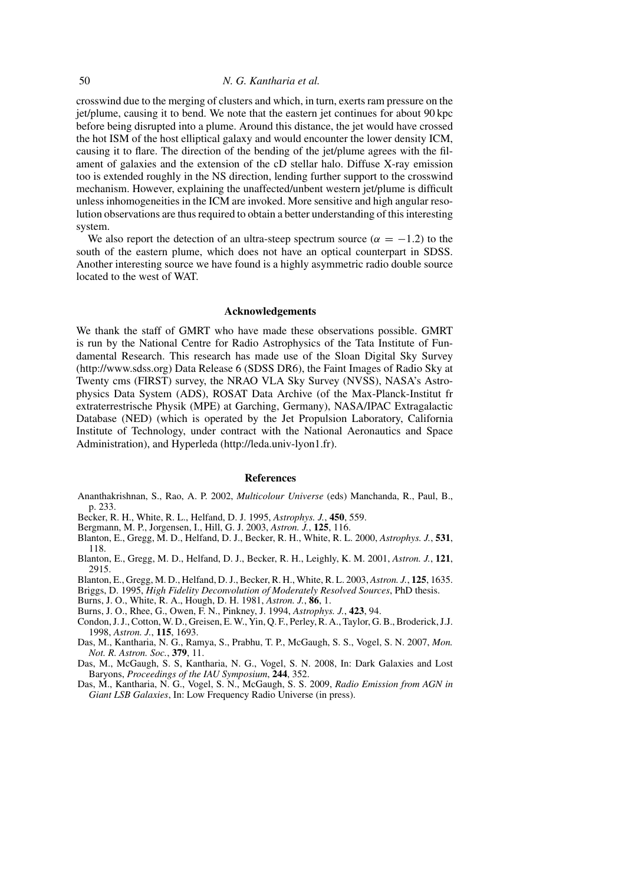crosswind due to the merging of clusters and which, in turn, exerts ram pressure on the jet/plume, causing it to bend. We note that the eastern jet continues for about 90 kpc before being disrupted into a plume. Around this distance, the jet would have crossed the hot ISM of the host elliptical galaxy and would encounter the lower density ICM, causing it to flare. The direction of the bending of the jet/plume agrees with the filament of galaxies and the extension of the cD stellar halo. Diffuse X-ray emission too is extended roughly in the NS direction, lending further support to the crosswind mechanism. However, explaining the unaffected/unbent western jet/plume is difficult unless inhomogeneities in the ICM are invoked. More sensitive and high angular resolution observations are thus required to obtain a better understanding of this interesting system.

We also report the detection of an ultra-steep spectrum source ( $\alpha = -1.2$ ) to the south of the eastern plume, which does not have an optical counterpart in SDSS. Another interesting source we have found is a highly asymmetric radio double source located to the west of WAT.

#### **Acknowledgements**

We thank the staff of GMRT who have made these observations possible. GMRT is run by the National Centre for Radio Astrophysics of the Tata Institute of Fundamental Research. This research has made use of the Sloan Digital Sky Survey (http://www.sdss.org) Data Release 6 (SDSS DR6), the Faint Images of Radio Sky at Twenty cms (FIRST) survey, the NRAO VLA Sky Survey (NVSS), NASA's Astrophysics Data System (ADS), ROSAT Data Archive (of the Max-Planck-Institut fr extraterrestrische Physik (MPE) at Garching, Germany), NASA/IPAC Extragalactic Database (NED) (which is operated by the Jet Propulsion Laboratory, California Institute of Technology, under contract with the National Aeronautics and Space Administration), and Hyperleda (http://leda.univ-lyon1.fr).

#### **References**

- Ananthakrishnan, S., Rao, A. P. 2002, *Multicolour Universe* (eds) Manchanda, R., Paul, B., p. 233.
- Becker, R. H., White, R. L., Helfand, D. J. 1995, *Astrophys. J.*, **450**, 559.
- Bergmann, M. P., Jorgensen, I., Hill, G. J. 2003, *Astron. J.*, **125**, 116.
- Blanton, E., Gregg, M. D., Helfand, D. J., Becker, R. H., White, R. L. 2000, *Astrophys. J.*, **531**, 118.
- Blanton, E., Gregg, M. D., Helfand, D. J., Becker, R. H., Leighly, K. M. 2001, *Astron. J.*, **121**, 2915.

Blanton, E., Gregg, M. D., Helfand, D. J., Becker, R. H., White, R. L. 2003, *Astron. J.*, **125**, 1635.

Briggs, D. 1995, *High Fidelity Deconvolution of Moderately Resolved Sources*, PhD thesis.

Burns, J. O., White, R. A., Hough, D. H. 1981, *Astron. J.*, **86**, 1.

Burns, J. O., Rhee, G., Owen, F. N., Pinkney, J. 1994, *Astrophys. J.*, **423**, 94.

- Condon, J. J., Cotton, W. D., Greisen, E. W., Yin, Q. F., Perley, R. A., Taylor, G. B., Broderick, J.J. 1998, *Astron. J.*, **115**, 1693.
- Das, M., Kantharia, N. G., Ramya, S., Prabhu, T. P., McGaugh, S. S., Vogel, S. N. 2007, *Mon. Not. R. Astron. Soc.*, **379**, 11.

Das, M., McGaugh, S. S, Kantharia, N. G., Vogel, S. N. 2008, In: Dark Galaxies and Lost Baryons, *Proceedings of the IAU Symposium*, **244**, 352.

Das, M., Kantharia, N. G., Vogel, S. N., McGaugh, S. S. 2009, *Radio Emission from AGN in Giant LSB Galaxies*, In: Low Frequency Radio Universe (in press).